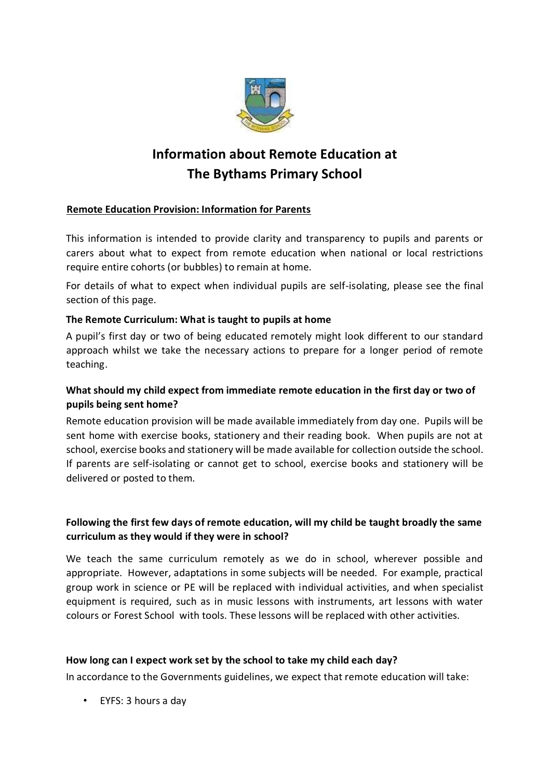

# **Information about Remote Education at The Bythams Primary School**

# **Remote Education Provision: Information for Parents**

This information is intended to provide clarity and transparency to pupils and parents or carers about what to expect from remote education when national or local restrictions require entire cohorts (or bubbles) to remain at home.

For details of what to expect when individual pupils are self-isolating, please see the final section of this page.

## **The Remote Curriculum: What is taught to pupils at home**

A pupil's first day or two of being educated remotely might look different to our standard approach whilst we take the necessary actions to prepare for a longer period of remote teaching.

# **What should my child expect from immediate remote education in the first day or two of pupils being sent home?**

Remote education provision will be made available immediately from day one. Pupils will be sent home with exercise books, stationery and their reading book. When pupils are not at school, exercise books and stationery will be made available for collection outside the school. If parents are self-isolating or cannot get to school, exercise books and stationery will be delivered or posted to them.

# **Following the first few days of remote education, will my child be taught broadly the same curriculum as they would if they were in school?**

We teach the same curriculum remotely as we do in school, wherever possible and appropriate. However, adaptations in some subjects will be needed. For example, practical group work in science or PE will be replaced with individual activities, and when specialist equipment is required, such as in music lessons with instruments, art lessons with water colours or Forest School with tools. These lessons will be replaced with other activities.

#### **How long can I expect work set by the school to take my child each day?**

In accordance to the Governments guidelines, we expect that remote education will take:

• EYFS: 3 hours a day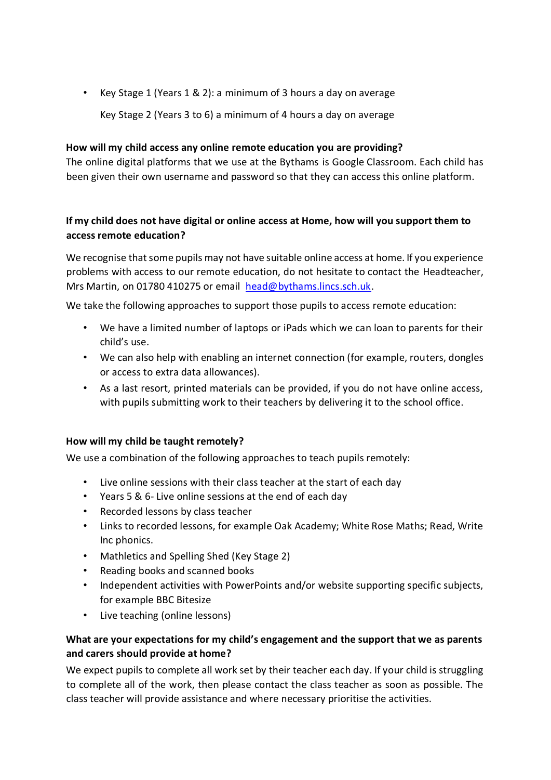• Key Stage 1 (Years 1 & 2): a minimum of 3 hours a day on average

Key Stage 2 (Years 3 to 6) a minimum of 4 hours a day on average

#### **How will my child access any online remote education you are providing?**

The online digital platforms that we use at the Bythams is Google Classroom. Each child has been given their own username and password so that they can access this online platform.

## **If my child does not have digital or online access at Home, how will you support them to access remote education?**

We recognise that some pupils may not have suitable online access at home. If you experience problems with access to our remote education, do not hesitate to contact the Headteacher, Mrs Martin, on 01780 410275 or email head@bythams.lincs.sch.uk.

We take the following approaches to support those pupils to access remote education:

- We have a limited number of laptops or iPads which we can loan to parents for their child's use.
- We can also help with enabling an internet connection (for example, routers, dongles or access to extra data allowances).
- As a last resort, printed materials can be provided, if you do not have online access, with pupils submitting work to their teachers by delivering it to the school office.

#### **How will my child be taught remotely?**

We use a combination of the following approaches to teach pupils remotely:

- Live online sessions with their class teacher at the start of each day
- Years 5 & 6- Live online sessions at the end of each day
- Recorded lessons by class teacher
- Links to recorded lessons, for example Oak Academy; White Rose Maths; Read, Write Inc phonics.
- Mathletics and Spelling Shed (Key Stage 2)
- Reading books and scanned books
- Independent activities with PowerPoints and/or website supporting specific subjects, for example BBC Bitesize
- Live teaching (online lessons)

## **What are your expectations for my child's engagement and the support that we as parents and carers should provide at home?**

We expect pupils to complete all work set by their teacher each day. If your child is struggling to complete all of the work, then please contact the class teacher as soon as possible. The class teacher will provide assistance and where necessary prioritise the activities.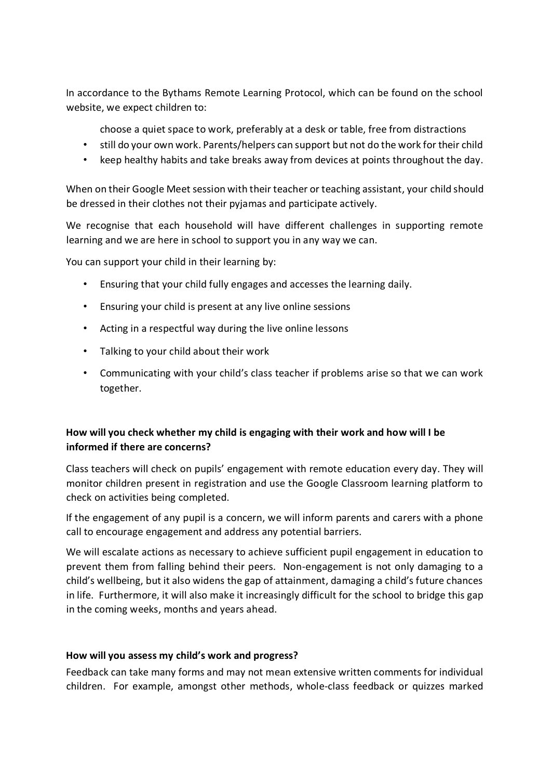In accordance to the Bythams Remote Learning Protocol, which can be found on the school website, we expect children to:

choose a quiet space to work, preferably at a desk or table, free from distractions

- still do your own work. Parents/helpers can support but not do the work for their child
- keep healthy habits and take breaks away from devices at points throughout the day.

When on their Google Meet session with their teacher or teaching assistant, your child should be dressed in their clothes not their pyjamas and participate actively.

We recognise that each household will have different challenges in supporting remote learning and we are here in school to support you in any way we can.

You can support your child in their learning by:

- Ensuring that your child fully engages and accesses the learning daily.
- Ensuring your child is present at any live online sessions
- Acting in a respectful way during the live online lessons
- Talking to your child about their work
- Communicating with your child's class teacher if problems arise so that we can work together.

#### **How will you check whether my child is engaging with their work and how will I be informed if there are concerns?**

Class teachers will check on pupils' engagement with remote education every day. They will monitor children present in registration and use the Google Classroom learning platform to check on activities being completed.

If the engagement of any pupil is a concern, we will inform parents and carers with a phone call to encourage engagement and address any potential barriers.

We will escalate actions as necessary to achieve sufficient pupil engagement in education to prevent them from falling behind their peers. Non-engagement is not only damaging to a child's wellbeing, but it also widens the gap of attainment, damaging a child's future chances in life. Furthermore, it will also make it increasingly difficult for the school to bridge this gap in the coming weeks, months and years ahead.

#### **How will you assess my child's work and progress?**

Feedback can take many forms and may not mean extensive written comments for individual children. For example, amongst other methods, whole-class feedback or quizzes marked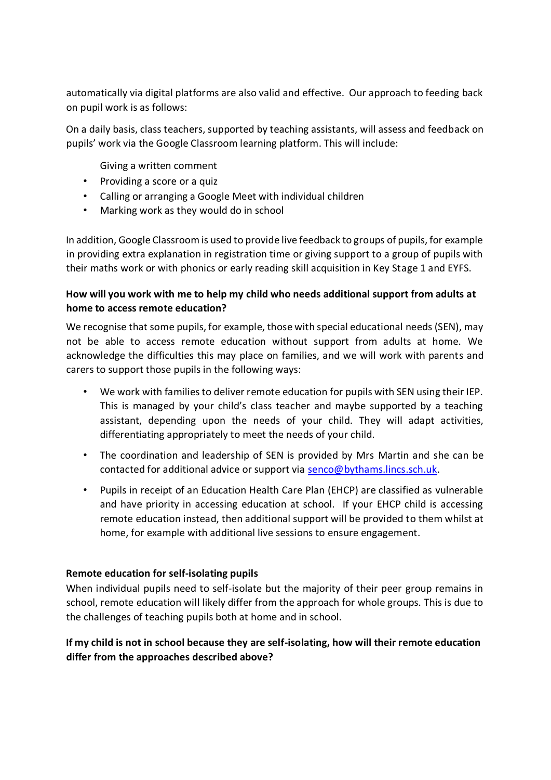automatically via digital platforms are also valid and effective. Our approach to feeding back on pupil work is as follows:

On a daily basis, class teachers, supported by teaching assistants, will assess and feedback on pupils' work via the Google Classroom learning platform. This will include:

Giving a written comment

- Providing a score or a quiz
- Calling or arranging a Google Meet with individual children
- Marking work as they would do in school

In addition, Google Classroom is used to provide live feedback to groups of pupils, for example in providing extra explanation in registration time or giving support to a group of pupils with their maths work or with phonics or early reading skill acquisition in Key Stage 1 and EYFS.

## **How will you work with me to help my child who needs additional support from adults at home to access remote education?**

We recognise that some pupils, for example, those with special educational needs (SEN), may not be able to access remote education without support from adults at home. We acknowledge the difficulties this may place on families, and we will work with parents and carers to support those pupils in the following ways:

- We work with families to deliver remote education for pupils with SEN using their IEP. This is managed by your child's class teacher and maybe supported by a teaching assistant, depending upon the needs of your child. They will adapt activities, differentiating appropriately to meet the needs of your child.
- The coordination and leadership of SEN is provided by Mrs Martin and she can be contacted for additional advice or support via senco@bythams.lincs.sch.uk.
- Pupils in receipt of an Education Health Care Plan (EHCP) are classified as vulnerable and have priority in accessing education at school. If your EHCP child is accessing remote education instead, then additional support will be provided to them whilst at home, for example with additional live sessions to ensure engagement.

#### **Remote education for self-isolating pupils**

When individual pupils need to self-isolate but the majority of their peer group remains in school, remote education will likely differ from the approach for whole groups. This is due to the challenges of teaching pupils both at home and in school.

# **If my child is not in school because they are self-isolating, how will their remote education differ from the approaches described above?**